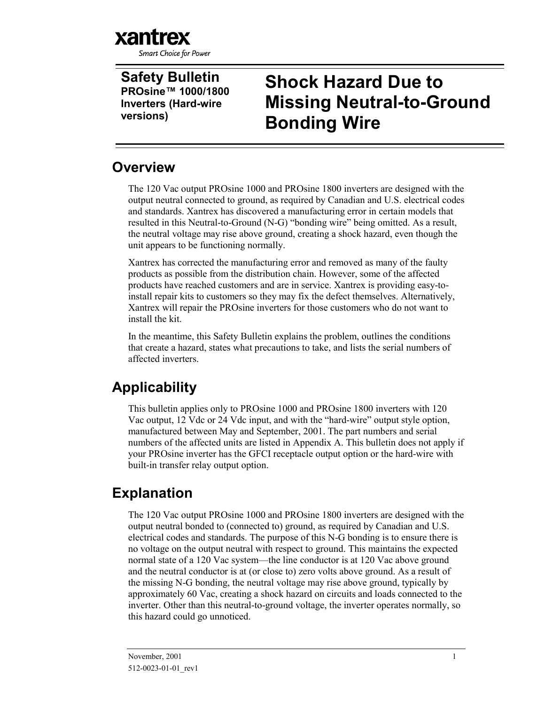

**Safety Bulletin PROsine™ 1000/1800 Inverters (Hard-wire versions)**

# **Shock Hazard Due to Missing Neutral-to-Ground Bonding Wire**

#### **Overview**

The 120 Vac output PROsine 1000 and PROsine 1800 inverters are designed with the output neutral connected to ground, as required by Canadian and U.S. electrical codes and standards. Xantrex has discovered a manufacturing error in certain models that resulted in this Neutral-to-Ground (N-G) "bonding wire" being omitted. As a result, the neutral voltage may rise above ground, creating a shock hazard, even though the unit appears to be functioning normally.

Xantrex has corrected the manufacturing error and removed as many of the faulty products as possible from the distribution chain. However, some of the affected products have reached customers and are in service. Xantrex is providing easy-toinstall repair kits to customers so they may fix the defect themselves. Alternatively, Xantrex will repair the PROsine inverters for those customers who do not want to install the kit.

In the meantime, this Safety Bulletin explains the problem, outlines the conditions that create a hazard, states what precautions to take, and lists the serial numbers of affected inverters.

### **Applicability**

This bulletin applies only to PROsine 1000 and PROsine 1800 inverters with 120 Vac output, 12 Vdc or 24 Vdc input, and with the "hard-wire" output style option, manufactured between May and September, 2001. The part numbers and serial numbers of the affected units are listed in Appendix A. This bulletin does not apply if your PROsine inverter has the GFCI receptacle output option or the hard-wire with built-in transfer relay output option.

#### **Explanation**

The 120 Vac output PROsine 1000 and PROsine 1800 inverters are designed with the output neutral bonded to (connected to) ground, as required by Canadian and U.S. electrical codes and standards. The purpose of this N-G bonding is to ensure there is no voltage on the output neutral with respect to ground. This maintains the expected normal state of a 120 Vac system—the line conductor is at 120 Vac above ground and the neutral conductor is at (or close to) zero volts above ground. As a result of the missing N-G bonding, the neutral voltage may rise above ground, typically by approximately 60 Vac, creating a shock hazard on circuits and loads connected to the inverter. Other than this neutral-to-ground voltage, the inverter operates normally, so this hazard could go unnoticed.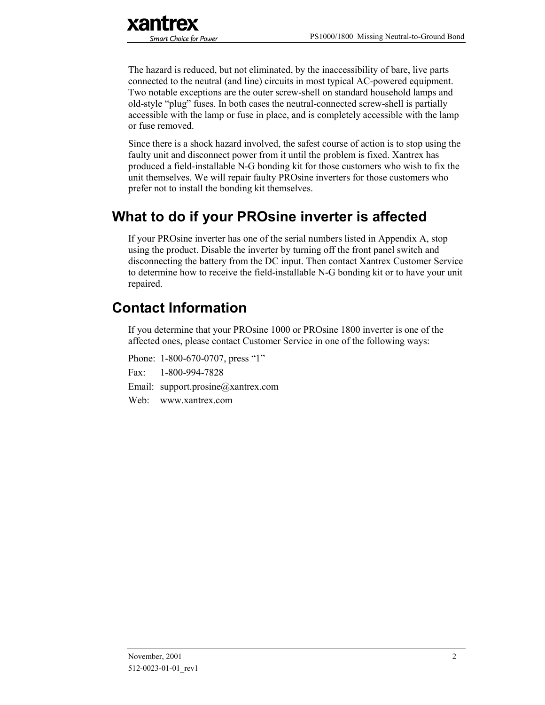The hazard is reduced, but not eliminated, by the inaccessibility of bare, live parts connected to the neutral (and line) circuits in most typical AC-powered equipment. Two notable exceptions are the outer screw-shell on standard household lamps and old-style "plug" fuses. In both cases the neutral-connected screw-shell is partially accessible with the lamp or fuse in place, and is completely accessible with the lamp or fuse removed.

Since there is a shock hazard involved, the safest course of action is to stop using the faulty unit and disconnect power from it until the problem is fixed. Xantrex has produced a field-installable N-G bonding kit for those customers who wish to fix the unit themselves. We will repair faulty PROsine inverters for those customers who prefer not to install the bonding kit themselves.

#### **What to do if your PROsine inverter is affected**

If your PROsine inverter has one of the serial numbers listed in Appendix A, stop using the product. Disable the inverter by turning off the front panel switch and disconnecting the battery from the DC input. Then contact Xantrex Customer Service to determine how to receive the field-installable N-G bonding kit or to have your unit repaired.

#### **Contact Information**

If you determine that your PROsine 1000 or PROsine 1800 inverter is one of the affected ones, please contact Customer Service in one of the following ways:

Phone: 1-800-670-0707, press "1"

Fax: 1-800-994-7828

Email: support.prosine@xantrex.com

Web: www.xantrex.com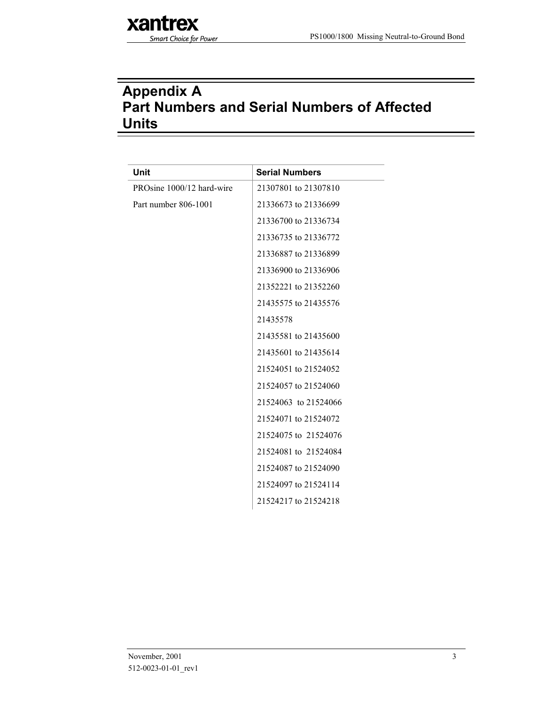## **Appendix A Part Numbers and Serial Numbers of Affected Units**

xantrex

**Smart Choice for Power** 

| Unit                      | <b>Serial Numbers</b> |
|---------------------------|-----------------------|
| PROsine 1000/12 hard-wire | 21307801 to 21307810  |
| Part number 806-1001      | 21336673 to 21336699  |
|                           | 21336700 to 21336734  |
|                           | 21336735 to 21336772  |
|                           | 21336887 to 21336899  |
|                           | 21336900 to 21336906  |
|                           | 21352221 to 21352260  |
|                           | 21435575 to 21435576  |
|                           | 21435578              |
|                           | 21435581 to 21435600  |
|                           | 21435601 to 21435614  |
|                           | 21524051 to 21524052  |
|                           | 21524057 to 21524060  |
|                           | 21524063 to 21524066  |
|                           | 21524071 to 21524072  |
|                           | 21524075 to 21524076  |
|                           | 21524081 to 21524084  |
|                           | 21524087 to 21524090  |
|                           | 21524097 to 21524114  |
|                           | 21524217 to 21524218  |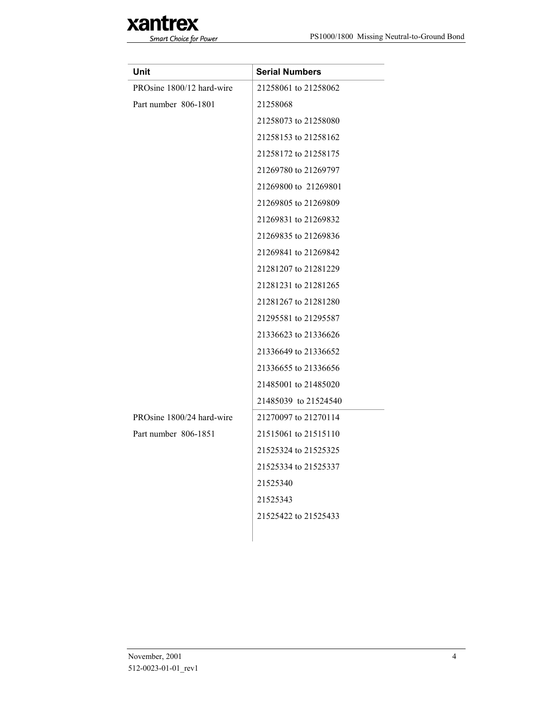| Unit                      | <b>Serial Numbers</b> |
|---------------------------|-----------------------|
| PROsine 1800/12 hard-wire | 21258061 to 21258062  |
| Part number 806-1801      | 21258068              |
|                           | 21258073 to 21258080  |
|                           | 21258153 to 21258162  |
|                           | 21258172 to 21258175  |
|                           | 21269780 to 21269797  |
|                           | 21269800 to 21269801  |
|                           | 21269805 to 21269809  |
|                           | 21269831 to 21269832  |
|                           | 21269835 to 21269836  |
|                           | 21269841 to 21269842  |
|                           | 21281207 to 21281229  |
|                           | 21281231 to 21281265  |
|                           | 21281267 to 21281280  |
|                           | 21295581 to 21295587  |
|                           | 21336623 to 21336626  |
|                           | 21336649 to 21336652  |
|                           | 21336655 to 21336656  |
|                           | 21485001 to 21485020  |
|                           | 21485039 to 21524540  |
| PROsine 1800/24 hard-wire | 21270097 to 21270114  |
| Part number 806-1851      | 21515061 to 21515110  |
|                           | 21525324 to 21525325  |
|                           | 21525334 to 21525337  |
|                           | 21525340              |
|                           | 21525343              |
|                           | 21525422 to 21525433  |
|                           |                       |